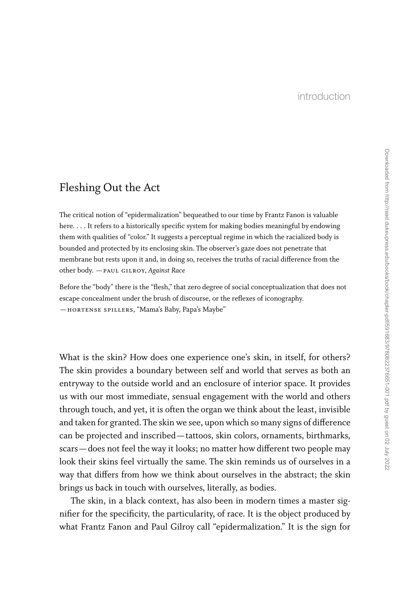# Fleshing Out the Act

The critical notion of "epidermalization" bequeathed to our time by Frantz Fanon is valuable here. . . . It refers to a historically specific system for making bodies meaningful by endowing them with qualities of "color." It suggests a perceptual regime in which the racialized body is bounded and protected by its enclosing skin. The observer's gaze does not penetrate that membrane but rests upon it and, in doing so, receives the truths of racial difference from the other body. —Paul Gilroy, *Against Race*

Before the "body" there is the "flesh," that zero degree of social conceptualization that does not escape concealment under the brush of discourse, or the reflexes of iconography. —Hortense Spillers, "Mama's Baby, Papa's Maybe"

What is the skin? How does one experience one's skin, in itself, for others? The skin provides a boundary between self and world that serves as both an entryway to the outside world and an enclosure of interior space. It provides us with our most immediate, sensual engagement with the world and others through touch, and yet, it is often the organ we think about the least, invisible and taken for granted. The skin we see, upon which so many signs of difference can be projected and inscribed—tattoos, skin colors, ornaments, birthmarks, scars—does not feel the way it looks; no matter how different two people may look their skins feel virtually the same. The skin reminds us of ourselves in a way that differs from how we think about ourselves in the abstract; the skin brings us back in touch with ourselves, literally, as bodies.

The skin, in a black context, has also been in modern times a master signifier for the specificity, the particularity, of race. It is the object produced by what Frantz Fanon and Paul Gilroy call "epidermalization." It is the sign for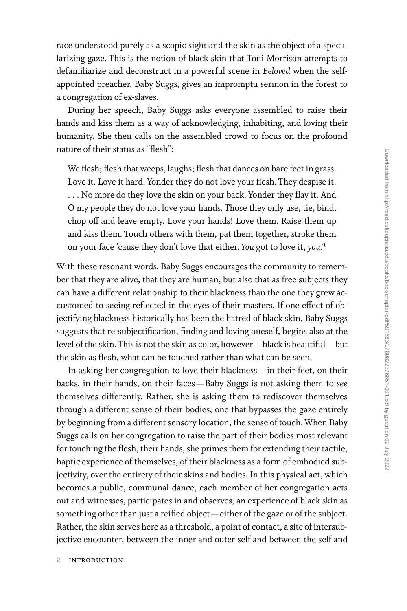race understood purely as a scopic sight and the skin as the object of a specularizing gaze. This is the notion of black skin that Toni Morrison attempts to defamiliarize and deconstruct in a powerful scene in *Beloved* when the selfappointed preacher, Baby Suggs, gives an impromptu sermon in the forest to a congregation of ex-slaves.

During her speech, Baby Suggs asks everyone assembled to raise their hands and kiss them as a way of acknowledging, inhabiting, and loving their humanity. She then calls on the assembled crowd to focus on the profound nature of their status as "flesh":

We flesh; flesh that weeps, laughs; flesh that dances on bare feet in grass. Love it. Love it hard. Yonder they do not love your flesh. They despise it. . . . No more do they love the skin on your back. Yonder they flay it. And O my people they do not love your hands. Those they only use, tie, bind, chop off and leave empty. Love your hands! Love them. Raise them up and kiss them. Touch others with them, pat them together, stroke them on your face 'cause they don't love that either. *You* got to love it, *you!*1

With these resonant words, Baby Suggs encourages the community to remember that they are alive, that they are human, but also that as free subjects they can have a different relationship to their blackness than the one they grew accustomed to seeing reflected in the eyes of their masters. If one effect of objectifying blackness historically has been the hatred of black skin, Baby Suggs suggests that re-subjectification, finding and loving oneself, begins also at the level of the skin. This is not the skin as color, however—black is beautiful—but the skin as flesh, what can be touched rather than what can be seen.

In asking her congregation to love their blackness—in their feet, on their backs, in their hands, on their faces—Baby Suggs is not asking them to *see* themselves differently. Rather, she is asking them to rediscover themselves through a different sense of their bodies, one that bypasses the gaze entirely by beginning from a different sensory location, the sense of touch. When Baby Suggs calls on her congregation to raise the part of their bodies most relevant for touching the flesh, their hands, she primes them for extending their tactile, haptic experience of themselves, of their blackness as a form of embodied subjectivity, over the entirety of their skins and bodies. In this physical act, which becomes a public, communal dance, each member of her congregation acts out and witnesses, participates in and observes, an experience of black skin as something other than just a reified object—either of the gaze or of the subject. Rather, the skin serves here as a threshold, a point of contact, a site of intersubjective encounter, between the inner and outer self and between the self and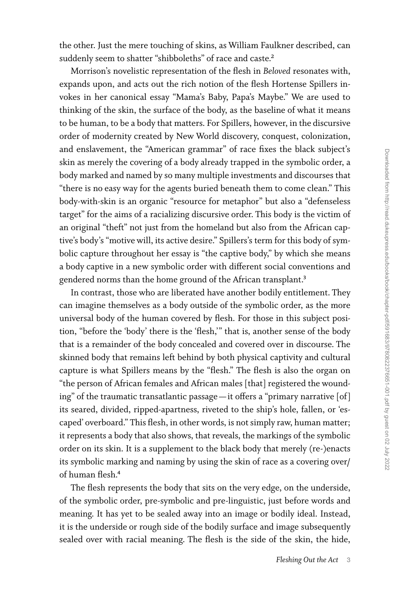the other. Just the mere touching of skins, as William Faulkner described, can suddenly seem to shatter "shibboleths" of race and caste.<sup>2</sup>

Morrison's novelistic representation of the flesh in *Beloved* resonates with, expands upon, and acts out the rich notion of the flesh Hortense Spillers invokes in her canonical essay "Mama's Baby, Papa's Maybe." We are used to thinking of the skin, the surface of the body, as the baseline of what it means to be human, to be a body that matters. For Spillers, however, in the discursive order of modernity created by New World discovery, conquest, colonization, and enslavement, the "American grammar" of race fixes the black subject's skin as merely the covering of a body already trapped in the symbolic order, a body marked and named by so many multiple investments and discourses that "there is no easy way for the agents buried beneath them to come clean." This body-with-skin is an organic "resource for metaphor" but also a "defenseless target" for the aims of a racializing discursive order. This body is the victim of an original "theft" not just from the homeland but also from the African captive's body's "motive will, its active desire." Spillers's term for this body of symbolic capture throughout her essay is "the captive body," by which she means a body captive in a new symbolic order with different social conventions and gendered norms than the home ground of the African transplant.<sup>3</sup>

In contrast, those who are liberated have another bodily entitlement. They can imagine themselves as a body outside of the symbolic order, as the more universal body of the human covered by flesh. For those in this subject position, "before the 'body' there is the 'flesh,'" that is, another sense of the body that is a remainder of the body concealed and covered over in discourse. The skinned body that remains left behind by both physical captivity and cultural capture is what Spillers means by the "flesh." The flesh is also the organ on "the person of African females and African males [that] registered the wounding" of the traumatic transatlantic passage—it offers a "primary narrative [of] its seared, divided, ripped-apartness, riveted to the ship's hole, fallen, or 'escaped' overboard." This flesh, in other words, is not simply raw, human matter; it represents a body that also shows, that reveals, the markings of the symbolic order on its skin. It is a supplement to the black body that merely (re-)enacts its symbolic marking and naming by using the skin of race as a covering over/ of human flesh.4

The flesh represents the body that sits on the very edge, on the underside, of the symbolic order, pre-symbolic and pre-linguistic, just before words and meaning. It has yet to be sealed away into an image or bodily ideal. Instead, it is the underside or rough side of the bodily surface and image subsequently sealed over with racial meaning. The flesh is the side of the skin, the hide,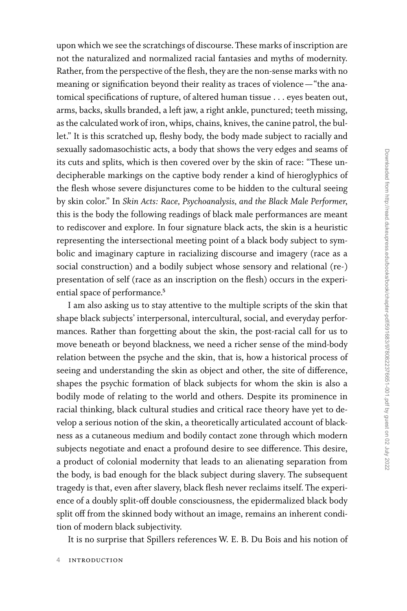upon which we see the scratchings of discourse. These marks of inscription are not the naturalized and normalized racial fantasies and myths of modernity. Rather, from the perspective of the flesh, they are the non-sense marks with no meaning or signification beyond their reality as traces of violence—"the anatomical specifications of rupture, of altered human tissue . . . eyes beaten out, arms, backs, skulls branded, a left jaw, a right ankle, punctured; teeth missing, as the calculated work of iron, whips, chains, knives, the canine patrol, the bullet." It is this scratched up, fleshy body, the body made subject to racially and sexually sadomasochistic acts, a body that shows the very edges and seams of its cuts and splits, which is then covered over by the skin of race: "These undecipherable markings on the captive body render a kind of hieroglyphics of the flesh whose severe disjunctures come to be hidden to the cultural seeing by skin color." In *Skin Acts: Race, Psychoanalysis, and the Black Male Performer*, this is the body the following readings of black male performances are meant to rediscover and explore. In four signature black acts, the skin is a heuristic representing the intersectional meeting point of a black body subject to symbolic and imaginary capture in racializing discourse and imagery (race as a social construction) and a bodily subject whose sensory and relational (re-) presentation of self (race as an inscription on the flesh) occurs in the experiential space of performance.<sup>5</sup>

I am also asking us to stay attentive to the multiple scripts of the skin that shape black subjects' interpersonal, intercultural, social, and everyday performances. Rather than forgetting about the skin, the post-racial call for us to move beneath or beyond blackness, we need a richer sense of the mind-body relation between the psyche and the skin, that is, how a historical process of seeing and understanding the skin as object and other, the site of difference, shapes the psychic formation of black subjects for whom the skin is also a bodily mode of relating to the world and others. Despite its prominence in racial thinking, black cultural studies and critical race theory have yet to develop a serious notion of the skin, a theoretically articulated account of blackness as a cutaneous medium and bodily contact zone through which modern subjects negotiate and enact a profound desire to see difference. This desire, a product of colonial modernity that leads to an alienating separation from the body, is bad enough for the black subject during slavery. The subsequent tragedy is that, even after slavery, black flesh never reclaims itself. The experience of a doubly split-off double consciousness, the epidermalized black body split off from the skinned body without an image, remains an inherent condition of modern black subjectivity.

It is no surprise that Spillers references W. E. B. Du Bois and his notion of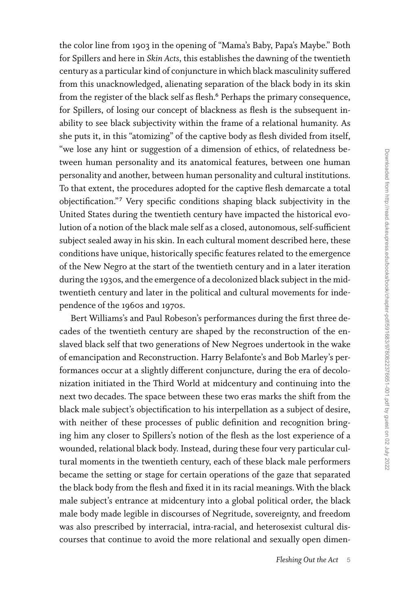the color line from 1903 in the opening of "Mama's Baby, Papa's Maybe." Both for Spillers and here in *Skin Acts*, this establishes the dawning of the twentieth century as a particular kind of conjuncture in which black masculinity suffered from this unacknowledged, alienating separation of the black body in its skin from the register of the black self as flesh.<sup>6</sup> Perhaps the primary consequence, for Spillers, of losing our concept of blackness as flesh is the subsequent inability to see black subjectivity within the frame of a relational humanity. As she puts it, in this "atomizing" of the captive body as flesh divided from itself, "we lose any hint or suggestion of a dimension of ethics, of relatedness between human personality and its anatomical features, between one human personality and another, between human personality and cultural institutions. To that extent, the procedures adopted for the captive flesh demarcate a total objectification."7 Very specific conditions shaping black subjectivity in the United States during the twentieth century have impacted the historical evolution of a notion of the black male self as a closed, autonomous, self-sufficient subject sealed away in his skin. In each cultural moment described here, these conditions have unique, historically specific features related to the emergence of the New Negro at the start of the twentieth century and in a later iteration during the 1930s, and the emergence of a decolonized black subject in the midtwentieth century and later in the political and cultural movements for independence of the 1960s and 1970s.

Bert Williams's and Paul Robeson's performances during the first three decades of the twentieth century are shaped by the reconstruction of the enslaved black self that two generations of New Negroes undertook in the wake of emancipation and Reconstruction. Harry Belafonte's and Bob Marley's performances occur at a slightly different conjuncture, during the era of decolonization initiated in the Third World at midcentury and continuing into the next two decades. The space between these two eras marks the shift from the black male subject's objectification to his interpellation as a subject of desire, with neither of these processes of public definition and recognition bringing him any closer to Spillers's notion of the flesh as the lost experience of a wounded, relational black body. Instead, during these four very particular cultural moments in the twentieth century, each of these black male performers became the setting or stage for certain operations of the gaze that separated the black body from the flesh and fixed it in its racial meanings. With the black male subject's entrance at midcentury into a global political order, the black male body made legible in discourses of Negritude, sovereignty, and freedom was also prescribed by interracial, intra-racial, and heterosexist cultural discourses that continue to avoid the more relational and sexually open dimen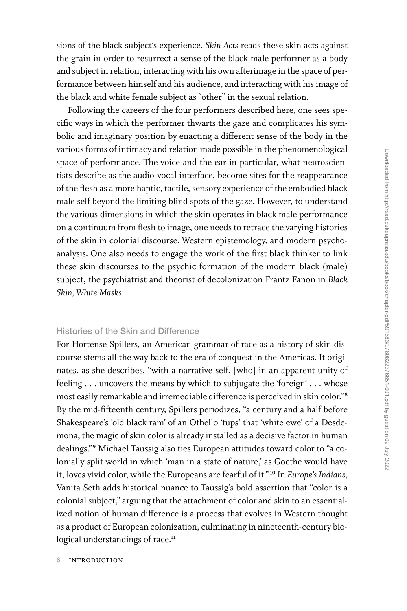sions of the black subject's experience. *Skin Acts* reads these skin acts against the grain in order to resurrect a sense of the black male performer as a body and subject in relation, interacting with his own afterimage in the space of performance between himself and his audience, and interacting with his image of the black and white female subject as "other" in the sexual relation.

Following the careers of the four performers described here, one sees specific ways in which the performer thwarts the gaze and complicates his symbolic and imaginary position by enacting a different sense of the body in the various forms of intimacy and relation made possible in the phenomenological space of performance. The voice and the ear in particular, what neuroscientists describe as the audio-vocal interface, become sites for the reappearance of the flesh as a more haptic, tactile, sensory experience of the embodied black male self beyond the limiting blind spots of the gaze. However, to understand the various dimensions in which the skin operates in black male performance on a continuum from flesh to image, one needs to retrace the varying histories of the skin in colonial discourse, Western epistemology, and modern psychoanalysis. One also needs to engage the work of the first black thinker to link these skin discourses to the psychic formation of the modern black (male) subject, the psychiatrist and theorist of decolonization Frantz Fanon in *Black Skin, White Masks*.

### Histories of the Skin and Difference

For Hortense Spillers, an American grammar of race as a history of skin discourse stems all the way back to the era of conquest in the Americas. It originates, as she describes, "with a narrative self, [who] in an apparent unity of feeling . . . uncovers the means by which to subjugate the 'foreign' . . . whose most easily remarkable and irremediable difference is perceived in skin color."8 By the mid-fifteenth century, Spillers periodizes, "a century and a half before Shakespeare's 'old black ram' of an Othello 'tups' that 'white ewe' of a Desdemona, the magic of skin color is already installed as a decisive factor in human dealings."9 Michael Taussig also ties European attitudes toward color to "a colonially split world in which 'man in a state of nature,' as Goethe would have it, loves vivid color, while the Europeans are fearful of it."10 In *Europe's Indians*, Vanita Seth adds historical nuance to Taussig's bold assertion that "color is a colonial subject," arguing that the attachment of color and skin to an essentialized notion of human difference is a process that evolves in Western thought as a product of European colonization, culminating in nineteenth-century biological understandings of race.<sup>11</sup>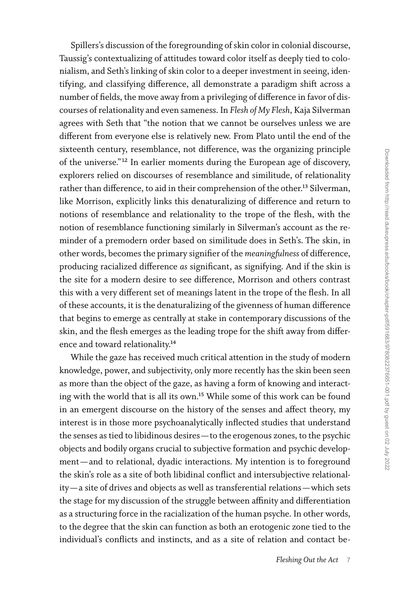Spillers's discussion of the foregrounding of skin color in colonial discourse, Taussig's contextualizing of attitudes toward color itself as deeply tied to colonialism, and Seth's linking of skin color to a deeper investment in seeing, identifying, and classifying difference, all demonstrate a paradigm shift across a number of fields, the move away from a privileging of difference in favor of discourses of relationality and even sameness. In *Flesh of My Flesh*, Kaja Silverman agrees with Seth that "the notion that we cannot be ourselves unless we are different from everyone else is relatively new. From Plato until the end of the sixteenth century, resemblance, not difference, was the organizing principle of the universe."12 In earlier moments during the European age of discovery, explorers relied on discourses of resemblance and similitude, of relationality rather than difference, to aid in their comprehension of the other.<sup>13</sup> Silverman, like Morrison, explicitly links this denaturalizing of difference and return to notions of resemblance and relationality to the trope of the flesh, with the notion of resemblance functioning similarly in Silverman's account as the reminder of a premodern order based on similitude does in Seth's. The skin, in other words, becomes the primary signifier of the *meaningfulness* of difference, producing racialized difference *as* significant, as signifying. And if the skin is the site for a modern desire to see difference, Morrison and others contrast this with a very different set of meanings latent in the trope of the flesh. In all of these accounts, it is the denaturalizing of the givenness of human difference that begins to emerge as centrally at stake in contemporary discussions of the skin, and the flesh emerges as the leading trope for the shift away from difference and toward relationality.14

While the gaze has received much critical attention in the study of modern knowledge, power, and subjectivity, only more recently has the skin been seen as more than the object of the gaze, as having a form of knowing and interacting with the world that is all its own.15 While some of this work can be found in an emergent discourse on the history of the senses and affect theory, my interest is in those more psychoanalytically inflected studies that understand the senses as tied to libidinous desires—to the erogenous zones, to the psychic objects and bodily organs crucial to subjective formation and psychic development—and to relational, dyadic interactions. My intention is to foreground the skin's role as a site of both libidinal conflict and intersubjective relationality—a site of drives and objects as well as transferential relations—which sets the stage for my discussion of the struggle between affinity and differentiation as a structuring force in the racialization of the human psyche. In other words, to the degree that the skin can function as both an erotogenic zone tied to the individual's conflicts and instincts, and as a site of relation and contact be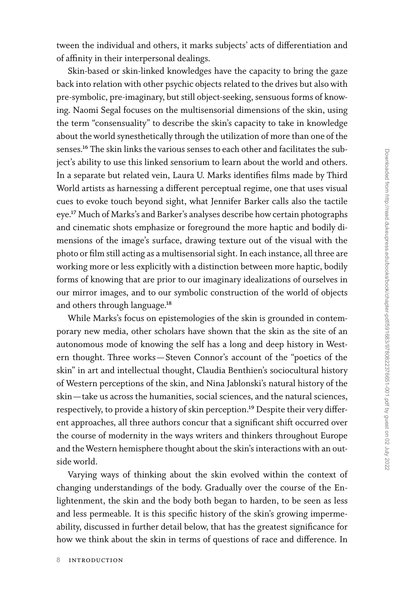tween the individual and others, it marks subjects' acts of differentiation and of affinity in their interpersonal dealings.

Skin-based or skin-linked knowledges have the capacity to bring the gaze back into relation with other psychic objects related to the drives but also with pre-symbolic, pre-imaginary, but still object-seeking, sensuous forms of knowing. Naomi Segal focuses on the multisensorial dimensions of the skin, using the term "consensuality" to describe the skin's capacity to take in knowledge about the world synesthetically through the utilization of more than one of the senses.<sup>16</sup> The skin links the various senses to each other and facilitates the subject's ability to use this linked sensorium to learn about the world and others. In a separate but related vein, Laura U. Marks identifies films made by Third World artists as harnessing a different perceptual regime, one that uses visual cues to evoke touch beyond sight, what Jennifer Barker calls also the tactile eye.17 Much of Marks's and Barker's analyses describe how certain photographs and cinematic shots emphasize or foreground the more haptic and bodily dimensions of the image's surface, drawing texture out of the visual with the photo or film still acting as a multisensorial sight. In each instance, all three are working more or less explicitly with a distinction between more haptic, bodily forms of knowing that are prior to our imaginary idealizations of ourselves in our mirror images, and to our symbolic construction of the world of objects and others through language.18

While Marks's focus on epistemologies of the skin is grounded in contemporary new media, other scholars have shown that the skin as the site of an autonomous mode of knowing the self has a long and deep history in Western thought. Three works—Steven Connor's account of the "poetics of the skin" in art and intellectual thought, Claudia Benthien's sociocultural history of Western perceptions of the skin, and Nina Jablonski's natural history of the skin—take us across the humanities, social sciences, and the natural sciences, respectively, to provide a history of skin perception.<sup>19</sup> Despite their very different approaches, all three authors concur that a significant shift occurred over the course of modernity in the ways writers and thinkers throughout Europe and the Western hemisphere thought about the skin's interactions with an outside world.

Varying ways of thinking about the skin evolved within the context of changing understandings of the body. Gradually over the course of the Enlightenment, the skin and the body both began to harden, to be seen as less and less permeable. It is this specific history of the skin's growing impermeability, discussed in further detail below, that has the greatest significance for how we think about the skin in terms of questions of race and difference. In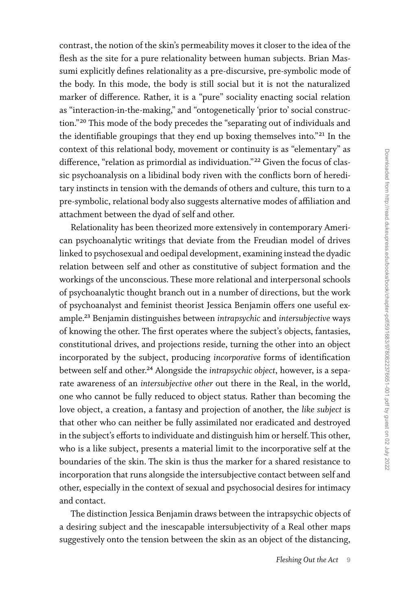contrast, the notion of the skin's permeability moves it closer to the idea of the flesh as the site for a pure relationality between human subjects. Brian Massumi explicitly defines relationality as a pre-discursive, pre-symbolic mode of the body. In this mode, the body is still social but it is not the naturalized marker of difference. Rather, it is a "pure" sociality enacting social relation as "interaction-in-the-making," and "ontogenetically 'prior to' social construction."20 This mode of the body precedes the "separating out of individuals and the identifiable groupings that they end up boxing themselves into."<sup>21</sup> In the context of this relational body, movement or continuity is as "elementary" as difference, "relation as primordial as individuation."<sup>22</sup> Given the focus of classic psychoanalysis on a libidinal body riven with the conflicts born of hereditary instincts in tension with the demands of others and culture, this turn to a pre-symbolic, relational body also suggests alternative modes of affiliation and attachment between the dyad of self and other.

Relationality has been theorized more extensively in contemporary American psychoanalytic writings that deviate from the Freudian model of drives linked to psychosexual and oedipal development, examining instead the dyadic relation between self and other as constitutive of subject formation and the workings of the unconscious. These more relational and interpersonal schools of psychoanalytic thought branch out in a number of directions, but the work of psychoanalyst and feminist theorist Jessica Benjamin offers one useful example.23 Benjamin distinguishes between *intrapsychic* and *intersubjective* ways of knowing the other. The first operates where the subject's objects, fantasies, constitutional drives, and projections reside, turning the other into an object incorporated by the subject, producing *incorporative* forms of identification between self and other.<sup>24</sup> Alongside the *intrapsychic object*, however, is a separate awareness of an *intersubjective other* out there in the Real, in the world, one who cannot be fully reduced to object status. Rather than becoming the love object, a creation, a fantasy and projection of another, the *like subject* is that other who can neither be fully assimilated nor eradicated and destroyed in the subject's efforts to individuate and distinguish him or herself. This other, who is a like subject, presents a material limit to the incorporative self at the boundaries of the skin. The skin is thus the marker for a shared resistance to incorporation that runs alongside the intersubjective contact between self and other, especially in the context of sexual and psychosocial desires for intimacy and contact.

The distinction Jessica Benjamin draws between the intrapsychic objects of a desiring subject and the inescapable intersubjectivity of a Real other maps suggestively onto the tension between the skin as an object of the distancing,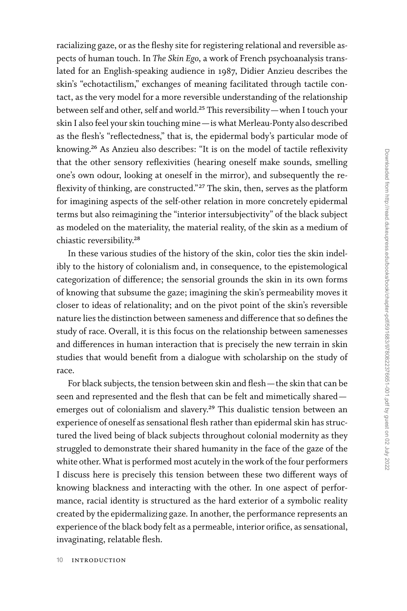racializing gaze, or as the fleshy site for registering relational and reversible aspects of human touch. In *The Skin Ego*, a work of French psychoanalysis translated for an English-speaking audience in 1987, Didier Anzieu describes the skin's "echotactilism," exchanges of meaning facilitated through tactile contact, as the very model for a more reversible understanding of the relationship between self and other, self and world.25 This reversibility—when I touch your skin I also feel your skin touching mine—is what Merleau-Ponty also described as the flesh's "reflectedness," that is, the epidermal body's particular mode of knowing.<sup>26</sup> As Anzieu also describes: "It is on the model of tactile reflexivity that the other sensory reflexivities (hearing oneself make sounds, smelling one's own odour, looking at oneself in the mirror), and subsequently the reflexivity of thinking, are constructed."<sup>27</sup> The skin, then, serves as the platform for imagining aspects of the self-other relation in more concretely epidermal terms but also reimagining the "interior intersubjectivity" of the black subject as modeled on the materiality, the material reality, of the skin as a medium of chiastic reversibility.28

In these various studies of the history of the skin, color ties the skin indelibly to the history of colonialism and, in consequence, to the epistemological categorization of difference; the sensorial grounds the skin in its own forms of knowing that subsume the gaze; imagining the skin's permeability moves it closer to ideas of relationality; and on the pivot point of the skin's reversible nature lies the distinction between sameness and difference that so defines the study of race. Overall, it is this focus on the relationship between samenesses and differences in human interaction that is precisely the new terrain in skin studies that would benefit from a dialogue with scholarship on the study of race.

For black subjects, the tension between skin and flesh—the skin that can be seen and represented and the flesh that can be felt and mimetically shared emerges out of colonialism and slavery.<sup>29</sup> This dualistic tension between an experience of oneself as sensational flesh rather than epidermal skin has structured the lived being of black subjects throughout colonial modernity as they struggled to demonstrate their shared humanity in the face of the gaze of the white other. What is performed most acutely in the work of the four performers I discuss here is precisely this tension between these two different ways of knowing blackness and interacting with the other. In one aspect of performance, racial identity is structured as the hard exterior of a symbolic reality created by the epidermalizing gaze. In another, the performance represents an experience of the black body felt as a permeable, interior orifice, as sensational, invaginating, relatable flesh.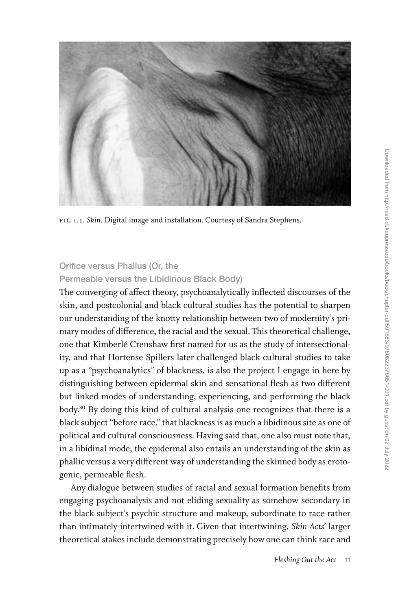

Fig I.1. *Skin*. Digital image and installation. Courtesy of Sandra Stephens.

## Orifice versus Phallus (Or, the

### Permeable versus the Libidinous Black Body)

The converging of affect theory, psychoanalytically inflected discourses of the skin, and postcolonial and black cultural studies has the potential to sharpen our understanding of the knotty relationship between two of modernity's primary modes of difference, the racial and the sexual. This theoretical challenge, one that Kimberlé Crenshaw first named for us as the study of intersectionality, and that Hortense Spillers later challenged black cultural studies to take up as a "psychoanalytics" of blackness, is also the project I engage in here by distinguishing between epidermal skin and sensational flesh as two different but linked modes of understanding, experiencing, and performing the black body.30 By doing this kind of cultural analysis one recognizes that there is a black subject "before race," that blackness is as much a libidinous site as one of political and cultural consciousness. Having said that, one also must note that, in a libidinal mode, the epidermal also entails an understanding of the skin as phallic versus a very different way of understanding the skinned body as erotogenic, permeable flesh.

Any dialogue between studies of racial and sexual formation benefits from engaging psychoanalysis and not eliding sexuality as somehow secondary in the black subject's psychic structure and makeup, subordinate to race rather than intimately intertwined with it. Given that intertwining, *Skin Acts*' larger theoretical stakes include demonstrating precisely how one can think race and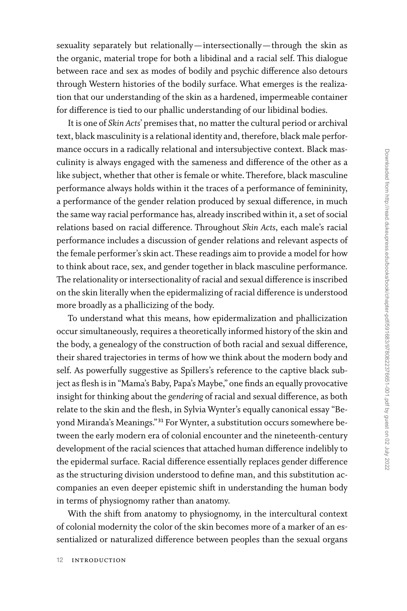sexuality separately but relationally—intersectionally—through the skin as the organic, material trope for both a libidinal and a racial self. This dialogue between race and sex as modes of bodily and psychic difference also detours through Western histories of the bodily surface. What emerges is the realization that our understanding of the skin as a hardened, impermeable container for difference is tied to our phallic understanding of our libidinal bodies.

It is one of *Skin Acts*' premises that, no matter the cultural period or archival text, black masculinity is a relational identity and, therefore, black male performance occurs in a radically relational and intersubjective context. Black masculinity is always engaged with the sameness and difference of the other as a like subject, whether that other is female or white. Therefore, black masculine performance always holds within it the traces of a performance of femininity, a performance of the gender relation produced by sexual difference, in much the same way racial performance has, already inscribed within it, a set of social relations based on racial difference. Throughout *Skin Acts*, each male's racial performance includes a discussion of gender relations and relevant aspects of the female performer's skin act. These readings aim to provide a model for how to think about race, sex, and gender together in black masculine performance. The relationality or intersectionality of racial and sexual difference is inscribed on the skin literally when the epidermalizing of racial difference is understood more broadly as a phallicizing of the body.

To understand what this means, how epidermalization and phallicization occur simultaneously, requires a theoretically informed history of the skin and the body, a genealogy of the construction of both racial and sexual difference, their shared trajectories in terms of how we think about the modern body and self. As powerfully suggestive as Spillers's reference to the captive black subject as flesh is in "Mama's Baby, Papa's Maybe," one finds an equally provocative insight for thinking about the *gendering* of racial and sexual difference, as both relate to the skin and the flesh, in Sylvia Wynter's equally canonical essay "Beyond Miranda's Meanings."<sup>31</sup> For Wynter, a substitution occurs somewhere between the early modern era of colonial encounter and the nineteenth-century development of the racial sciences that attached human difference indelibly to the epidermal surface. Racial difference essentially replaces gender difference as the structuring division understood to define man, and this substitution accompanies an even deeper epistemic shift in understanding the human body in terms of physiognomy rather than anatomy.

With the shift from anatomy to physiognomy, in the intercultural context of colonial modernity the color of the skin becomes more of a marker of an essentialized or naturalized difference between peoples than the sexual organs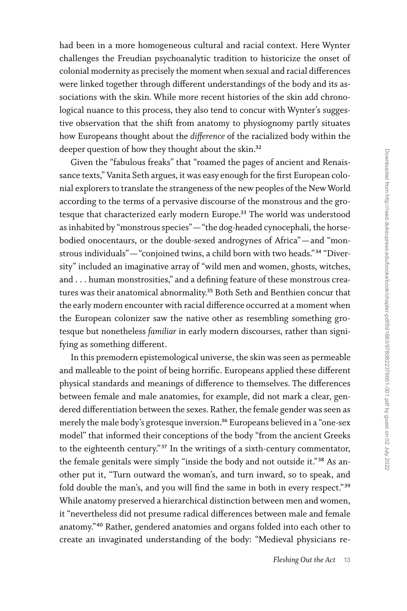had been in a more homogeneous cultural and racial context. Here Wynter challenges the Freudian psychoanalytic tradition to historicize the onset of colonial modernity as precisely the moment when sexual and racial differences were linked together through different understandings of the body and its associations with the skin. While more recent histories of the skin add chronological nuance to this process, they also tend to concur with Wynter's suggestive observation that the shift from anatomy to physiognomy partly situates how Europeans thought about the *difference* of the racialized body within the deeper question of how they thought about the skin.<sup>32</sup>

Given the "fabulous freaks" that "roamed the pages of ancient and Renaissance texts," Vanita Seth argues, it was easy enough for the first European colonial explorers to translate the strangeness of the new peoples of the New World according to the terms of a pervasive discourse of the monstrous and the grotesque that characterized early modern Europe.<sup>33</sup> The world was understood as inhabited by "monstrous species"—"the dog-headed cynocephali, the horsebodied onocentaurs, or the double-sexed androgynes of Africa"—and "monstrous individuals"—"conjoined twins, a child born with two heads."34 "Diversity" included an imaginative array of "wild men and women, ghosts, witches, and . . . human monstrosities," and a defining feature of these monstrous creatures was their anatomical abnormality.<sup>35</sup> Both Seth and Benthien concur that the early modern encounter with racial difference occurred at a moment when the European colonizer saw the native other as resembling something grotesque but nonetheless *familiar* in early modern discourses, rather than signifying as something different.

In this premodern epistemological universe, the skin was seen as permeable and malleable to the point of being horrific. Europeans applied these different physical standards and meanings of difference to themselves. The differences between female and male anatomies, for example, did not mark a clear, gendered differentiation between the sexes. Rather, the female gender was seen as merely the male body's grotesque inversion.<sup>36</sup> Europeans believed in a "one-sex model" that informed their conceptions of the body "from the ancient Greeks to the eighteenth century."37 In the writings of a sixth-century commentator, the female genitals were simply "inside the body and not outside it."<sup>38</sup> As another put it, "Turn outward the woman's, and turn inward, so to speak, and fold double the man's, and you will find the same in both in every respect."<sup>39</sup> While anatomy preserved a hierarchical distinction between men and women, it "nevertheless did not presume radical differences between male and female anatomy."40 Rather, gendered anatomies and organs folded into each other to create an invaginated understanding of the body: "Medieval physicians re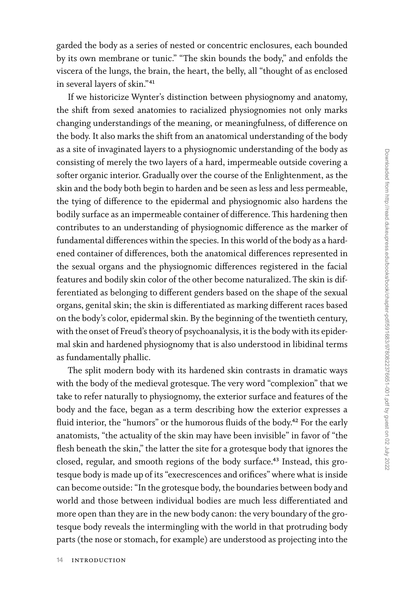garded the body as a series of nested or concentric enclosures, each bounded by its own membrane or tunic." "The skin bounds the body," and enfolds the viscera of the lungs, the brain, the heart, the belly, all "thought of as enclosed in several layers of skin."41

If we historicize Wynter's distinction between physiognomy and anatomy, the shift from sexed anatomies to racialized physiognomies not only marks changing understandings of the meaning, or meaningfulness, of difference on the body. It also marks the shift from an anatomical understanding of the body as a site of invaginated layers to a physiognomic understanding of the body as consisting of merely the two layers of a hard, impermeable outside covering a softer organic interior. Gradually over the course of the Enlightenment, as the skin and the body both begin to harden and be seen as less and less permeable, the tying of difference to the epidermal and physiognomic also hardens the bodily surface as an impermeable container of difference. This hardening then contributes to an understanding of physiognomic difference as the marker of fundamental differences within the species. In this world of the body as a hardened container of differences, both the anatomical differences represented in the sexual organs and the physiognomic differences registered in the facial features and bodily skin color of the other become naturalized. The skin is differentiated as belonging to different genders based on the shape of the sexual organs, genital skin; the skin is differentiated as marking different races based on the body's color, epidermal skin. By the beginning of the twentieth century, with the onset of Freud's theory of psychoanalysis, it is the body with its epidermal skin and hardened physiognomy that is also understood in libidinal terms as fundamentally phallic.

The split modern body with its hardened skin contrasts in dramatic ways with the body of the medieval grotesque. The very word "complexion" that we take to refer naturally to physiognomy, the exterior surface and features of the body and the face, began as a term describing how the exterior expresses a fluid interior, the "humors" or the humorous fluids of the body.<sup>42</sup> For the early anatomists, "the actuality of the skin may have been invisible" in favor of "the flesh beneath the skin," the latter the site for a grotesque body that ignores the closed, regular, and smooth regions of the body surface.<sup>43</sup> Instead, this grotesque body is made up of its "execrescences and orifices" where what is inside can become outside: "In the grotesque body, the boundaries between body and world and those between individual bodies are much less differentiated and more open than they are in the new body canon: the very boundary of the grotesque body reveals the intermingling with the world in that protruding body parts (the nose or stomach, for example) are understood as projecting into the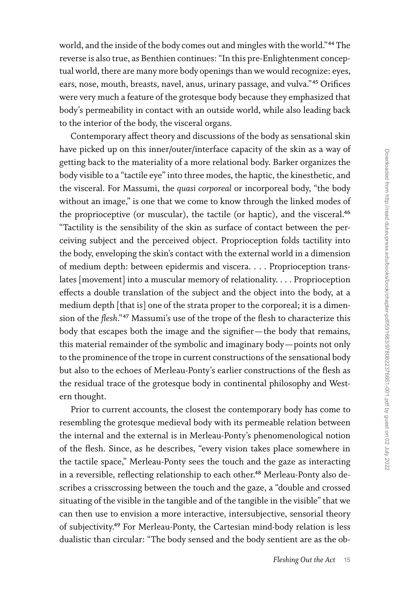world, and the inside of the body comes out and mingles with the world."44 The reverse is also true, as Benthien continues: "In this pre-Enlightenment conceptual world, there are many more body openings than we would recognize: eyes, ears, nose, mouth, breasts, navel, anus, urinary passage, and vulva."45 Orifices were very much a feature of the grotesque body because they emphasized that body's permeability in contact with an outside world, while also leading back to the interior of the body, the visceral organs.

Contemporary affect theory and discussions of the body as sensational skin have picked up on this inner/outer/interface capacity of the skin as a way of getting back to the materiality of a more relational body. Barker organizes the body visible to a "tactile eye" into three modes, the haptic, the kinesthetic, and the visceral. For Massumi, the *quasi corporeal* or incorporeal body, "the body without an image," is one that we come to know through the linked modes of the proprioceptive (or muscular), the tactile (or haptic), and the visceral.<sup>46</sup> "Tactility is the sensibility of the skin as surface of contact between the perceiving subject and the perceived object. Proprioception folds tactility into the body, enveloping the skin's contact with the external world in a dimension of medium depth: between epidermis and viscera. . . . Proprioception translates [movement] into a muscular memory of relationality. . . . Proprioception effects a double translation of the subject and the object into the body, at a medium depth [that is] one of the strata proper to the corporeal; it is a dimension of the *flesh*."47 Massumi's use of the trope of the flesh to characterize this body that escapes both the image and the signifier—the body that remains, this material remainder of the symbolic and imaginary body—points not only to the prominence of the trope in current constructions of the sensational body but also to the echoes of Merleau-Ponty's earlier constructions of the flesh as the residual trace of the grotesque body in continental philosophy and Western thought.

Prior to current accounts, the closest the contemporary body has come to resembling the grotesque medieval body with its permeable relation between the internal and the external is in Merleau-Ponty's phenomenological notion of the flesh. Since, as he describes, "every vision takes place somewhere in the tactile space," Merleau-Ponty sees the touch and the gaze as interacting in a reversible, reflecting relationship to each other.<sup>48</sup> Merleau-Ponty also describes a crisscrossing between the touch and the gaze, a "double and crossed situating of the visible in the tangible and of the tangible in the visible" that we can then use to envision a more interactive, intersubjective, sensorial theory of subjectivity.49 For Merleau-Ponty, the Cartesian mind-body relation is less dualistic than circular: "The body sensed and the body sentient are as the ob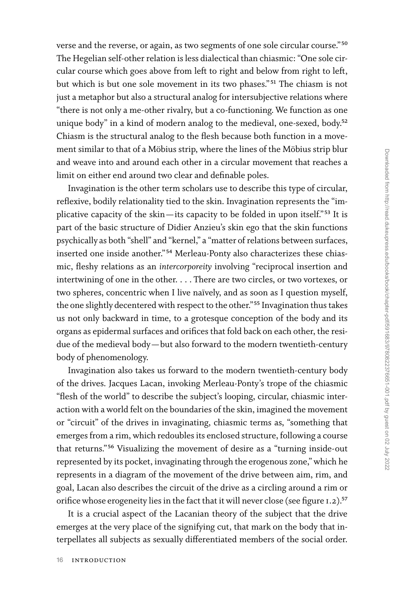verse and the reverse, or again, as two segments of one sole circular course."50 The Hegelian self-other relation is less dialectical than chiasmic: "One sole circular course which goes above from left to right and below from right to left, but which is but one sole movement in its two phases."51 The chiasm is not just a metaphor but also a structural analog for intersubjective relations where "there is not only a me-other rivalry, but a co-functioning. We function as one unique body" in a kind of modern analog to the medieval, one-sexed, body.<sup>52</sup> Chiasm is the structural analog to the flesh because both function in a movement similar to that of a Möbius strip, where the lines of the Möbius strip blur and weave into and around each other in a circular movement that reaches a limit on either end around two clear and definable poles.

Invagination is the other term scholars use to describe this type of circular, reflexive, bodily relationality tied to the skin. Invagination represents the "implicative capacity of the skin—its capacity to be folded in upon itself."53 It is part of the basic structure of Didier Anzieu's skin ego that the skin functions psychically as both "shell" and "kernel," a "matter of relations between surfaces, inserted one inside another."54 Merleau-Ponty also characterizes these chiasmic, fleshy relations as an *intercorporeity* involving "reciprocal insertion and intertwining of one in the other. . . . There are two circles, or two vortexes, or two spheres, concentric when I live naïvely, and as soon as I question myself, the one slightly decentered with respect to the other."<sup>55</sup> Invagination thus takes us not only backward in time, to a grotesque conception of the body and its organs as epidermal surfaces and orifices that fold back on each other, the residue of the medieval body—but also forward to the modern twentieth-century body of phenomenology.

Invagination also takes us forward to the modern twentieth-century body of the drives. Jacques Lacan, invoking Merleau-Ponty's trope of the chiasmic "flesh of the world" to describe the subject's looping, circular, chiasmic interaction with a world felt on the boundaries of the skin, imagined the movement or "circuit" of the drives in invaginating, chiasmic terms as, "something that emerges from a rim, which redoubles its enclosed structure, following a course that returns."56 Visualizing the movement of desire as a "turning inside-out represented by its pocket, invaginating through the erogenous zone," which he represents in a diagram of the movement of the drive between aim, rim, and goal, Lacan also describes the circuit of the drive as a circling around a rim or orifice whose erogeneity lies in the fact that it will never close (see figure 1.2).<sup>57</sup>

It is a crucial aspect of the Lacanian theory of the subject that the drive emerges at the very place of the signifying cut, that mark on the body that interpellates all subjects as sexually differentiated members of the social order.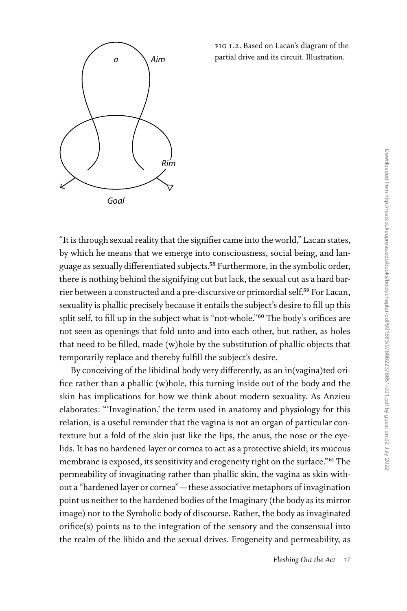

Fig I.2. Based on Lacan's diagram of the partial drive and its circuit. Illustration.

"It is through sexual reality that the signifier came into the world," Lacan states, by which he means that we emerge into consciousness, social being, and language as sexually differentiated subjects.<sup>58</sup> Furthermore, in the symbolic order, there is nothing behind the signifying cut but lack, the sexual cut as a hard barrier between a constructed and a pre-discursive or primordial self.<sup>59</sup> For Lacan, sexuality is phallic precisely because it entails the subject's desire to fill up this split self, to fill up in the subject what is "not-whole."<sup>60</sup> The body's orifices are not seen as openings that fold unto and into each other, but rather, as holes that need to be filled, made (w)hole by the substitution of phallic objects that temporarily replace and thereby fulfill the subject's desire.

By conceiving of the libidinal body very differently, as an in(vagina)ted orifice rather than a phallic (w)hole, this turning inside out of the body and the skin has implications for how we think about modern sexuality. As Anzieu elaborates: "'Invagination,' the term used in anatomy and physiology for this relation, is a useful reminder that the vagina is not an organ of particular contexture but a fold of the skin just like the lips, the anus, the nose or the eyelids. It has no hardened layer or cornea to act as a protective shield; its mucous membrane is exposed, its sensitivity and erogeneity right on the surface."61 The permeability of invaginating rather than phallic skin, the vagina as skin without a "hardened layer or cornea"—these associative metaphors of invagination point us neither to the hardened bodies of the Imaginary (the body as its mirror image) nor to the Symbolic body of discourse. Rather, the body as invaginated orifice(s) points us to the integration of the sensory and the consensual into the realm of the libido and the sexual drives. Erogeneity and permeability, as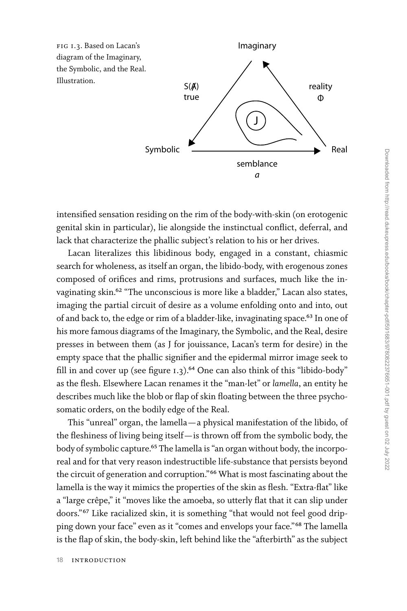

intensified sensation residing on the rim of the body-with-skin (on erotogenic genital skin in particular), lie alongside the instinctual conflict, deferral, and lack that characterize the phallic subject's relation to his or her drives.

Lacan literalizes this libidinous body, engaged in a constant, chiasmic search for wholeness, as itself an organ, the libido-body, with erogenous zones composed of orifices and rims, protrusions and surfaces, much like the invaginating skin.<sup>62</sup> "The unconscious is more like a bladder," Lacan also states, imaging the partial circuit of desire as a volume enfolding onto and into, out of and back to, the edge or rim of a bladder-like, invaginating space.<sup>63</sup> In one of his more famous diagrams of the Imaginary, the Symbolic, and the Real, desire presses in between them (as J for jouissance, Lacan's term for desire) in the empty space that the phallic signifier and the epidermal mirror image seek to fill in and cover up (see figure  $1.3$ ).<sup>64</sup> One can also think of this "libido-body" as the flesh. Elsewhere Lacan renames it the "man-let" or *lamella*, an entity he describes much like the blob or flap of skin floating between the three psychosomatic orders, on the bodily edge of the Real.

This "unreal" organ, the lamella—a physical manifestation of the libido, of the fleshiness of living being itself—is thrown off from the symbolic body, the body of symbolic capture.<sup>65</sup> The lamella is "an organ without body, the incorporeal and for that very reason indestructible life-substance that persists beyond the circuit of generation and corruption."66 What is most fascinating about the lamella is the way it mimics the properties of the skin as flesh. "Extra-flat" like a "large crêpe," it "moves like the amoeba, so utterly flat that it can slip under doors."67 Like racialized skin, it is something "that would not feel good dripping down your face" even as it "comes and envelops your face."68 The lamella is the flap of skin, the body-skin, left behind like the "afterbirth" as the subject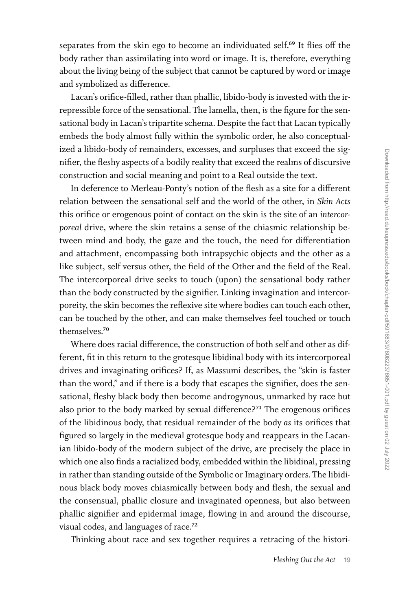separates from the skin ego to become an individuated self.<sup>69</sup> It flies off the body rather than assimilating into word or image. It is, therefore, everything about the living being of the subject that cannot be captured by word or image and symbolized as difference.

Lacan's orifice-filled, rather than phallic, libido-body is invested with the irrepressible force of the sensational. The lamella, then, *is* the figure for the sensational body in Lacan's tripartite schema. Despite the fact that Lacan typically embeds the body almost fully within the symbolic order, he also conceptualized a libido-body of remainders, excesses, and surpluses that exceed the signifier, the fleshy aspects of a bodily reality that exceed the realms of discursive construction and social meaning and point to a Real outside the text.

In deference to Merleau-Ponty's notion of the flesh as a site for a different relation between the sensational self and the world of the other, in *Skin Acts* this orifice or erogenous point of contact on the skin is the site of an *intercorporeal* drive, where the skin retains a sense of the chiasmic relationship between mind and body, the gaze and the touch, the need for differentiation and attachment, encompassing both intrapsychic objects and the other as a like subject, self versus other, the field of the Other and the field of the Real. The intercorporeal drive seeks to touch (upon) the sensational body rather than the body constructed by the signifier. Linking invagination and intercorporeity, the skin becomes the reflexive site where bodies can touch each other, can be touched by the other, and can make themselves feel touched or touch themselves.70

Where does racial difference, the construction of both self and other as different, fit in this return to the grotesque libidinal body with its intercorporeal drives and invaginating orifices? If, as Massumi describes, the "skin is faster than the word," and if there is a body that escapes the signifier, does the sensational, fleshy black body then become androgynous, unmarked by race but also prior to the body marked by sexual difference?<sup>71</sup> The erogenous orifices of the libidinous body, that residual remainder of the body *as* its orifices that figured so largely in the medieval grotesque body and reappears in the Lacanian libido-body of the modern subject of the drive, are precisely the place in which one also finds a racialized body, embedded within the libidinal, pressing in rather than standing outside of the Symbolic or Imaginary orders. The libidinous black body moves chiasmically between body and flesh, the sexual and the consensual, phallic closure and invaginated openness, but also between phallic signifier and epidermal image, flowing in and around the discourse, visual codes, and languages of race.72

Thinking about race and sex together requires a retracing of the histori-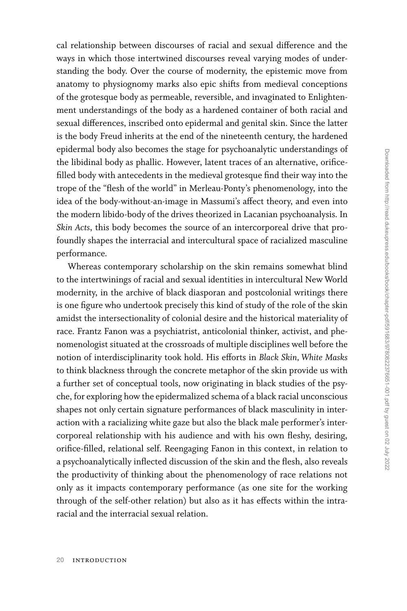cal relationship between discourses of racial and sexual difference and the ways in which those intertwined discourses reveal varying modes of understanding the body. Over the course of modernity, the epistemic move from anatomy to physiognomy marks also epic shifts from medieval conceptions of the grotesque body as permeable, reversible, and invaginated to Enlightenment understandings of the body as a hardened container of both racial and sexual differences, inscribed onto epidermal and genital skin. Since the latter is the body Freud inherits at the end of the nineteenth century, the hardened epidermal body also becomes the stage for psychoanalytic understandings of the libidinal body as phallic. However, latent traces of an alternative, orificefilled body with antecedents in the medieval grotesque find their way into the trope of the "flesh of the world" in Merleau-Ponty's phenomenology, into the idea of the body-without-an-image in Massumi's affect theory, and even into the modern libido-body of the drives theorized in Lacanian psychoanalysis. In *Skin Acts*, this body becomes the source of an intercorporeal drive that profoundly shapes the interracial and intercultural space of racialized masculine performance.

Whereas contemporary scholarship on the skin remains somewhat blind to the intertwinings of racial and sexual identities in intercultural New World modernity, in the archive of black diasporan and postcolonial writings there is one figure who undertook precisely this kind of study of the role of the skin amidst the intersectionality of colonial desire and the historical materiality of race. Frantz Fanon was a psychiatrist, anticolonial thinker, activist, and phenomenologist situated at the crossroads of multiple disciplines well before the notion of interdisciplinarity took hold. His efforts in *Black Skin, White Masks* to think blackness through the concrete metaphor of the skin provide us with a further set of conceptual tools, now originating in black studies of the psyche, for exploring how the epidermalized schema of a black racial unconscious shapes not only certain signature performances of black masculinity in interaction with a racializing white gaze but also the black male performer's intercorporeal relationship with his audience and with his own fleshy, desiring, orifice-filled, relational self. Reengaging Fanon in this context, in relation to a psychoanalytically inflected discussion of the skin and the flesh, also reveals the productivity of thinking about the phenomenology of race relations not only as it impacts contemporary performance (as one site for the working through of the self-other relation) but also as it has effects within the intraracial and the interracial sexual relation.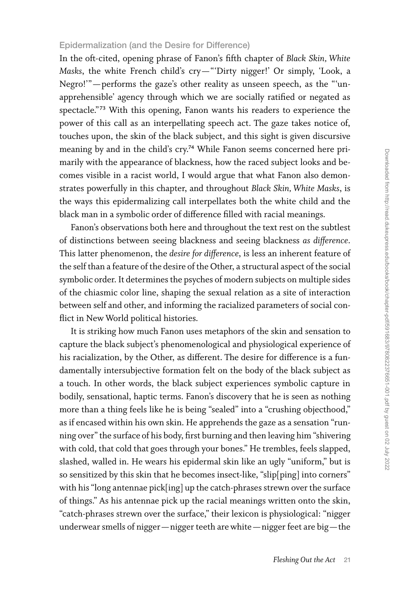#### Epidermalization (and the Desire for Difference)

In the oft-cited, opening phrase of Fanon's fifth chapter of *Black Skin, White Masks*, the white French child's cry—"'Dirty nigger!' Or simply, 'Look, a Negro!'"—performs the gaze's other reality as unseen speech, as the "'unapprehensible' agency through which we are socially ratified or negated as spectacle."73 With this opening, Fanon wants his readers to experience the power of this call as an interpellating speech act. The gaze takes notice of, touches upon, the skin of the black subject, and this sight is given discursive meaning by and in the child's cry.<sup>74</sup> While Fanon seems concerned here primarily with the appearance of blackness, how the raced subject looks and becomes visible in a racist world, I would argue that what Fanon also demonstrates powerfully in this chapter, and throughout *Black Skin, White Masks*, is the ways this epidermalizing call interpellates both the white child and the black man in a symbolic order of difference filled with racial meanings.

Fanon's observations both here and throughout the text rest on the subtlest of distinctions between seeing blackness and seeing blackness *as difference*. This latter phenomenon, the *desire for difference*, is less an inherent feature of the self than a feature of the desire of the Other, a structural aspect of the social symbolic order. It determines the psyches of modern subjects on multiple sides of the chiasmic color line, shaping the sexual relation as a site of interaction between self and other, and informing the racialized parameters of social conflict in New World political histories.

It is striking how much Fanon uses metaphors of the skin and sensation to capture the black subject's phenomenological and physiological experience of his racialization, by the Other, as different. The desire for difference is a fundamentally intersubjective formation felt on the body of the black subject as a touch. In other words, the black subject experiences symbolic capture in bodily, sensational, haptic terms. Fanon's discovery that he is seen as nothing more than a thing feels like he is being "sealed" into a "crushing objecthood," as if encased within his own skin. He apprehends the gaze as a sensation "running over" the surface of his body, first burning and then leaving him "shivering with cold, that cold that goes through your bones." He trembles, feels slapped, slashed, walled in. He wears his epidermal skin like an ugly "uniform," but is so sensitized by this skin that he becomes insect-like, "slip[ping] into corners" with his "long antennae pick[ing] up the catch-phrases strewn over the surface of things." As his antennae pick up the racial meanings written onto the skin, "catch-phrases strewn over the surface," their lexicon is physiological: "nigger underwear smells of nigger—nigger teeth are white—nigger feet are big—the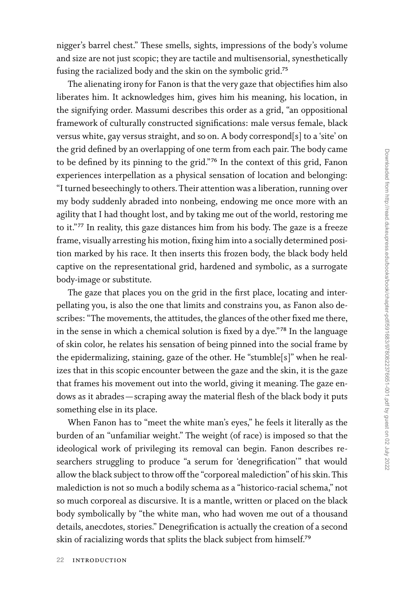nigger's barrel chest." These smells, sights, impressions of the body's volume and size are not just scopic; they are tactile and multisensorial, synesthetically fusing the racialized body and the skin on the symbolic grid.75

The alienating irony for Fanon is that the very gaze that objectifies him also liberates him. It acknowledges him, gives him his meaning, his location, in the signifying order. Massumi describes this order as a grid, "an oppositional framework of culturally constructed significations: male versus female, black versus white, gay versus straight, and so on. A body correspond[s] to a 'site' on the grid defined by an overlapping of one term from each pair. The body came to be defined by its pinning to the grid."76 In the context of this grid, Fanon experiences interpellation as a physical sensation of location and belonging: "I turned beseechingly to others. Their attention was a liberation, running over my body suddenly abraded into nonbeing, endowing me once more with an agility that I had thought lost, and by taking me out of the world, restoring me to it."77 In reality, this gaze distances him from his body. The gaze is a freeze frame, visually arresting his motion, fixing him into a socially determined position marked by his race. It then inserts this frozen body, the black body held captive on the representational grid, hardened and symbolic, as a surrogate body-image or substitute.

The gaze that places you on the grid in the first place, locating and interpellating you, is also the one that limits and constrains you, as Fanon also describes: "The movements, the attitudes, the glances of the other fixed me there, in the sense in which a chemical solution is fixed by a dye."78 In the language of skin color, he relates his sensation of being pinned into the social frame by the epidermalizing, staining, gaze of the other. He "stumble[s]" when he realizes that in this scopic encounter between the gaze and the skin, it is the gaze that frames his movement out into the world, giving it meaning. The gaze endows as it abrades—scraping away the material flesh of the black body it puts something else in its place.

When Fanon has to "meet the white man's eyes," he feels it literally as the burden of an "unfamiliar weight." The weight (of race) is imposed so that the ideological work of privileging its removal can begin. Fanon describes researchers struggling to produce "a serum for 'denegrification'" that would allow the black subject to throw off the "corporeal malediction" of his skin. This malediction is not so much a bodily schema as a "historico-racial schema," not so much corporeal as discursive. It is a mantle, written or placed on the black body symbolically by "the white man, who had woven me out of a thousand details, anecdotes, stories." Denegrification is actually the creation of a second skin of racializing words that splits the black subject from himself.79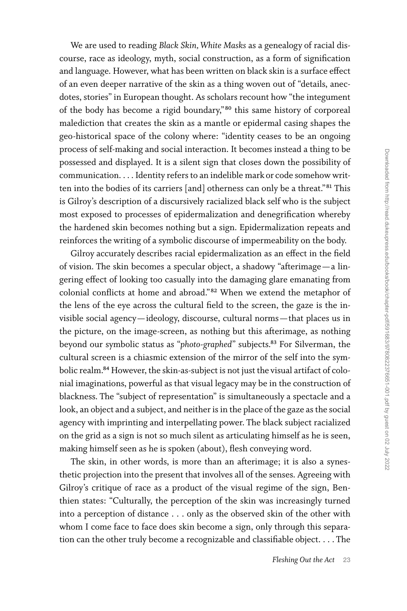We are used to reading *Black Skin, White Masks* as a genealogy of racial discourse, race as ideology, myth, social construction, as a form of signification and language. However, what has been written on black skin is a surface effect of an even deeper narrative of the skin as a thing woven out of "details, anecdotes, stories" in European thought. As scholars recount how "the integument of the body has become a rigid boundary,"80 this same history of corporeal malediction that creates the skin as a mantle or epidermal casing shapes the geo-historical space of the colony where: "identity ceases to be an ongoing process of self-making and social interaction. It becomes instead a thing to be possessed and displayed. It is a silent sign that closes down the possibility of communication. . . . Identity refers to an indelible mark or code somehow written into the bodies of its carriers [and] otherness can only be a threat."<sup>81</sup> This is Gilroy's description of a discursively racialized black self who is the subject most exposed to processes of epidermalization and denegrification whereby the hardened skin becomes nothing but a sign. Epidermalization repeats and reinforces the writing of a symbolic discourse of impermeability on the body.

Gilroy accurately describes racial epidermalization as an effect in the field of vision. The skin becomes a specular object, a shadowy "afterimage—a lingering effect of looking too casually into the damaging glare emanating from colonial conflicts at home and abroad."82 When we extend the metaphor of the lens of the eye across the cultural field to the screen, the gaze is the invisible social agency—ideology, discourse, cultural norms—that places us in the picture, on the image-screen, as nothing but this afterimage, as nothing beyond our symbolic status as "*photo-graphed*" subjects.83 For Silverman, the cultural screen is a chiasmic extension of the mirror of the self into the symbolic realm.<sup>84</sup> However, the skin-as-subject is not just the visual artifact of colonial imaginations, powerful as that visual legacy may be in the construction of blackness. The "subject of representation" is simultaneously a spectacle and a look, an object and a subject, and neither is in the place of the gaze as the social agency with imprinting and interpellating power. The black subject racialized on the grid as a sign is not so much silent as articulating himself as he is seen, making himself seen as he is spoken (about), flesh conveying word.

The skin, in other words, is more than an afterimage; it is also a synesthetic projection into the present that involves all of the senses. Agreeing with Gilroy's critique of race as a product of the visual regime of the sign, Benthien states: "Culturally, the perception of the skin was increasingly turned into a perception of distance . . . only as the observed skin of the other with whom I come face to face does skin become a sign, only through this separation can the other truly become a recognizable and classifiable object. . . . The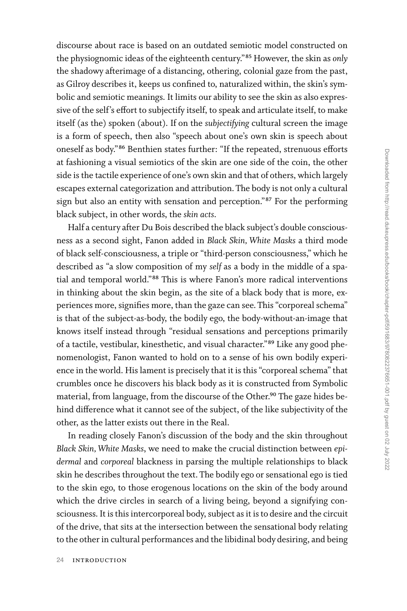discourse about race is based on an outdated semiotic model constructed on the physiognomic ideas of the eighteenth century."85 However, the skin as *only* the shadowy afterimage of a distancing, othering, colonial gaze from the past, as Gilroy describes it, keeps us confined to, naturalized within, the skin's symbolic and semiotic meanings. It limits our ability to see the skin as also expressive of the self's effort to subjectify itself, to speak and articulate itself, to make itself (as the) spoken (about). If on the *subjectifying* cultural screen the image is a form of speech, then also "speech about one's own skin is speech about oneself as body."86 Benthien states further: "If the repeated, strenuous efforts at fashioning a visual semiotics of the skin are one side of the coin, the other side is the tactile experience of one's own skin and that of others, which largely escapes external categorization and attribution. The body is not only a cultural sign but also an entity with sensation and perception."<sup>87</sup> For the performing black subject, in other words, the *skin acts*.

Half a century after Du Bois described the black subject's double consciousness as a second sight, Fanon added in *Black Skin, White Masks* a third mode of black self-consciousness, a triple or "third-person consciousness," which he described as "a slow composition of my *self* as a body in the middle of a spatial and temporal world."88 This is where Fanon's more radical interventions in thinking about the skin begin, as the site of a black body that is more, experiences more, signifies more, than the gaze can see. This "corporeal schema" is that of the subject-as-body, the bodily ego, the body-without-an-image that knows itself instead through "residual sensations and perceptions primarily of a tactile, vestibular, kinesthetic, and visual character."89 Like any good phenomenologist, Fanon wanted to hold on to a sense of his own bodily experience in the world. His lament is precisely that it is this "corporeal schema" that crumbles once he discovers his black body as it is constructed from Symbolic material, from language, from the discourse of the Other.<sup>90</sup> The gaze hides behind difference what it cannot see of the subject, of the like subjectivity of the other, as the latter exists out there in the Real.

In reading closely Fanon's discussion of the body and the skin throughout *Black Skin, White Masks*, we need to make the crucial distinction between *epidermal* and *corporeal* blackness in parsing the multiple relationships to black skin he describes throughout the text. The bodily ego or sensational ego is tied to the skin ego, to those erogenous locations on the skin of the body around which the drive circles in search of a living being, beyond a signifying consciousness. It is this intercorporeal body, subject as it is to desire and the circuit of the drive, that sits at the intersection between the sensational body relating to the other in cultural performances and the libidinal body desiring, and being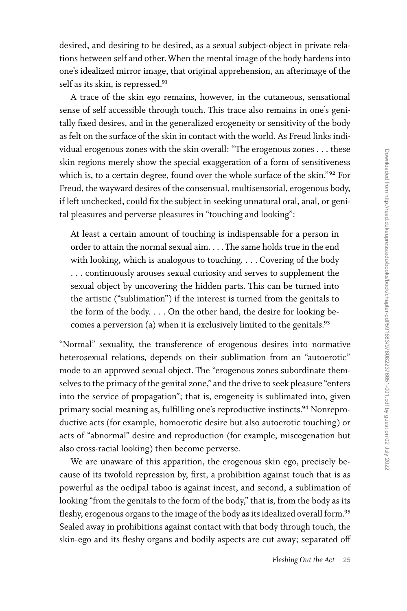desired, and desiring to be desired, as a sexual subject-object in private relations between self and other. When the mental image of the body hardens into one's idealized mirror image, that original apprehension, an afterimage of the self as its skin, is repressed.<sup>91</sup>

A trace of the skin ego remains, however, in the cutaneous, sensational sense of self accessible through touch. This trace also remains in one's genitally fixed desires, and in the generalized erogeneity or sensitivity of the body as felt on the surface of the skin in contact with the world. As Freud links individual erogenous zones with the skin overall: "The erogenous zones . . . these skin regions merely show the special exaggeration of a form of sensitiveness which is, to a certain degree, found over the whole surface of the skin."<sup>92</sup> For Freud, the wayward desires of the consensual, multisensorial, erogenous body, if left unchecked, could fix the subject in seeking unnatural oral, anal, or genital pleasures and perverse pleasures in "touching and looking":

At least a certain amount of touching is indispensable for a person in order to attain the normal sexual aim. . . . The same holds true in the end with looking, which is analogous to touching. . . . Covering of the body . . . continuously arouses sexual curiosity and serves to supplement the sexual object by uncovering the hidden parts. This can be turned into the artistic ("sublimation") if the interest is turned from the genitals to the form of the body. . . . On the other hand, the desire for looking becomes a perversion (a) when it is exclusively limited to the genitals.<sup>93</sup>

"Normal" sexuality, the transference of erogenous desires into normative heterosexual relations, depends on their sublimation from an "autoerotic" mode to an approved sexual object. The "erogenous zones subordinate themselves to the primacy of the genital zone," and the drive to seek pleasure "enters into the service of propagation"; that is, erogeneity is sublimated into, given primary social meaning as, fulfilling one's reproductive instincts.94 Nonreproductive acts (for example, homoerotic desire but also autoerotic touching) or acts of "abnormal" desire and reproduction (for example, miscegenation but also cross-racial looking) then become perverse.

We are unaware of this apparition, the erogenous skin ego, precisely because of its twofold repression by, first, a prohibition against touch that is as powerful as the oedipal taboo is against incest, and second, a sublimation of looking "from the genitals to the form of the body," that is, from the body as its fleshy, erogenous organs to the image of the body as its idealized overall form.<sup>95</sup> Sealed away in prohibitions against contact with that body through touch, the skin-ego and its fleshy organs and bodily aspects are cut away; separated off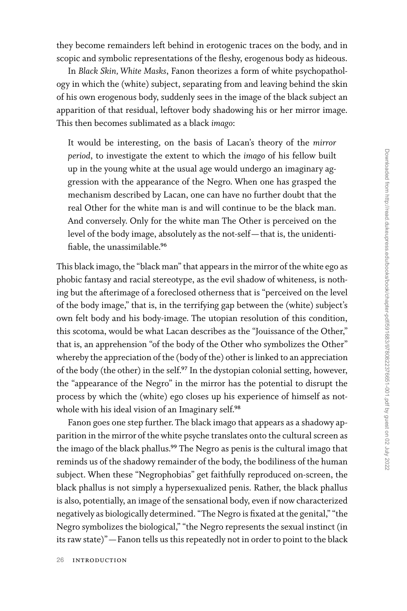they become remainders left behind in erotogenic traces on the body, and in scopic and symbolic representations of the fleshy, erogenous body as hideous.

In *Black Skin, White Masks*, Fanon theorizes a form of white psychopathology in which the (white) subject, separating from and leaving behind the skin of his own erogenous body, suddenly sees in the image of the black subject an apparition of that residual, leftover body shadowing his or her mirror image. This then becomes sublimated as a black *imago*:

It would be interesting, on the basis of Lacan's theory of the *mirror period*, to investigate the extent to which the *imago* of his fellow built up in the young white at the usual age would undergo an imaginary aggression with the appearance of the Negro. When one has grasped the mechanism described by Lacan, one can have no further doubt that the real Other for the white man is and will continue to be the black man. And conversely. Only for the white man The Other is perceived on the level of the body image, absolutely as the not-self—that is, the unidentifiable, the unassimilable.96

This black imago, the "black man" that appears in the mirror of the white ego as phobic fantasy and racial stereotype, as the evil shadow of whiteness, is nothing but the afterimage of a foreclosed otherness that is "perceived on the level of the body image," that is, in the terrifying gap between the (white) subject's own felt body and his body-image. The utopian resolution of this condition, this scotoma, would be what Lacan describes as the "Jouissance of the Other," that is, an apprehension "of the body of the Other who symbolizes the Other" whereby the appreciation of the (body of the) other is linked to an appreciation of the body (the other) in the self.<sup>97</sup> In the dystopian colonial setting, however, the "appearance of the Negro" in the mirror has the potential to disrupt the process by which the (white) ego closes up his experience of himself as notwhole with his ideal vision of an Imaginary self.<sup>98</sup>

Fanon goes one step further. The black imago that appears as a shadowy apparition in the mirror of the white psyche translates onto the cultural screen as the imago of the black phallus.<sup>99</sup> The Negro as penis is the cultural imago that reminds us of the shadowy remainder of the body, the bodiliness of the human subject. When these "Negrophobias" get faithfully reproduced on-screen, the black phallus is not simply a hypersexualized penis. Rather, the black phallus is also, potentially, an image of the sensational body, even if now characterized negatively as biologically determined. "The Negro is fixated at the genital," "the Negro symbolizes the biological," "the Negro represents the sexual instinct (in its raw state)"—Fanon tells us this repeatedly not in order to point to the black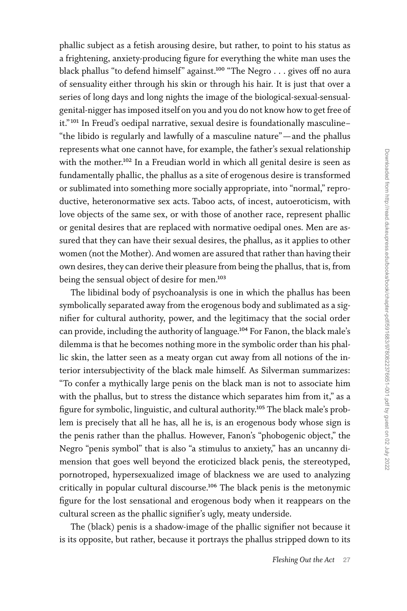phallic subject as a fetish arousing desire, but rather, to point to his status as a frightening, anxiety-producing figure for everything the white man uses the black phallus "to defend himself" against.<sup>100</sup> "The Negro . . . gives off no aura of sensuality either through his skin or through his hair. It is just that over a series of long days and long nights the image of the biological-sexual-sensualgenital-nigger has imposed itself on you and you do not know how to get free of it."101 In Freud's oedipal narrative, sexual desire is foundationally masculine– "the libido is regularly and lawfully of a masculine nature"—and the phallus represents what one cannot have, for example, the father's sexual relationship with the mother.<sup>102</sup> In a Freudian world in which all genital desire is seen as fundamentally phallic, the phallus as a site of erogenous desire is transformed or sublimated into something more socially appropriate, into "normal," reproductive, heteronormative sex acts. Taboo acts, of incest, autoeroticism, with love objects of the same sex, or with those of another race, represent phallic or genital desires that are replaced with normative oedipal ones. Men are assured that they can have their sexual desires, the phallus, as it applies to other women (not the Mother). And women are assured that rather than having their own desires, they can derive their pleasure from being the phallus, that is, from being the sensual object of desire for men.<sup>103</sup>

The libidinal body of psychoanalysis is one in which the phallus has been symbolically separated away from the erogenous body and sublimated as a signifier for cultural authority, power, and the legitimacy that the social order can provide, including the authority of language.<sup>104</sup> For Fanon, the black male's dilemma is that he becomes nothing more in the symbolic order than his phallic skin, the latter seen as a meaty organ cut away from all notions of the interior intersubjectivity of the black male himself. As Silverman summarizes: "To confer a mythically large penis on the black man is not to associate him with the phallus, but to stress the distance which separates him from it," as a figure for symbolic, linguistic, and cultural authority.<sup>105</sup> The black male's problem is precisely that all he has, all he is, is an erogenous body whose sign is the penis rather than the phallus. However, Fanon's "phobogenic object," the Negro "penis symbol" that is also "a stimulus to anxiety," has an uncanny dimension that goes well beyond the eroticized black penis, the stereotyped, pornotroped, hypersexualized image of blackness we are used to analyzing critically in popular cultural discourse.<sup>106</sup> The black penis is the metonymic figure for the lost sensational and erogenous body when it reappears on the cultural screen as the phallic signifier's ugly, meaty underside.

The (black) penis is a shadow-image of the phallic signifier not because it is its opposite, but rather, because it portrays the phallus stripped down to its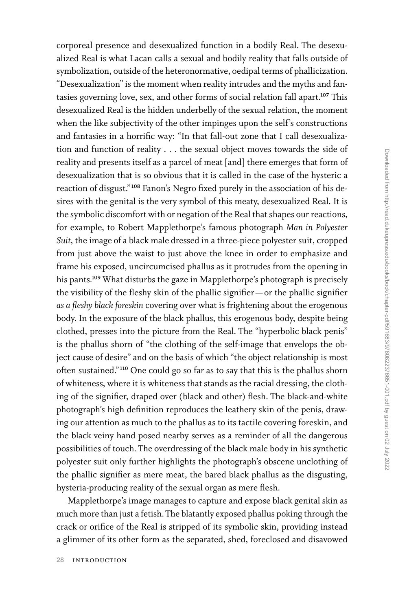corporeal presence and desexualized function in a bodily Real. The desexualized Real is what Lacan calls a sexual and bodily reality that falls outside of symbolization, outside of the heteronormative, oedipal terms of phallicization. "Desexualization" is the moment when reality intrudes and the myths and fantasies governing love, sex, and other forms of social relation fall apart.<sup>107</sup> This desexualized Real is the hidden underbelly of the sexual relation, the moment when the like subjectivity of the other impinges upon the self's constructions and fantasies in a horrific way: "In that fall-out zone that I call desexualization and function of reality . . . the sexual object moves towards the side of reality and presents itself as a parcel of meat [and] there emerges that form of desexualization that is so obvious that it is called in the case of the hysteric a reaction of disgust."108 Fanon's Negro fixed purely in the association of his desires with the genital is the very symbol of this meaty, desexualized Real. It is the symbolic discomfort with or negation of the Real that shapes our reactions, for example, to Robert Mapplethorpe's famous photograph *Man in Polyester Suit*, the image of a black male dressed in a three-piece polyester suit, cropped from just above the waist to just above the knee in order to emphasize and frame his exposed, uncircumcised phallus as it protrudes from the opening in his pants.<sup>109</sup> What disturbs the gaze in Mapplethorpe's photograph is precisely the visibility of the fleshy skin of the phallic signifier—or the phallic signifier *as a fleshy black foreskin* covering over what is frightening about the erogenous body. In the exposure of the black phallus, this erogenous body, despite being clothed, presses into the picture from the Real. The "hyperbolic black penis" is the phallus shorn of "the clothing of the self-image that envelops the object cause of desire" and on the basis of which "the object relationship is most often sustained."110 One could go so far as to say that this is the phallus shorn of whiteness, where it is whiteness that stands as the racial dressing, the clothing of the signifier, draped over (black and other) flesh. The black-and-white photograph's high definition reproduces the leathery skin of the penis, drawing our attention as much to the phallus as to its tactile covering foreskin, and the black veiny hand posed nearby serves as a reminder of all the dangerous possibilities of touch. The overdressing of the black male body in his synthetic polyester suit only further highlights the photograph's obscene unclothing of the phallic signifier as mere meat, the bared black phallus as the disgusting, hysteria-producing reality of the sexual organ as mere flesh.

Mapplethorpe's image manages to capture and expose black genital skin as much more than just a fetish. The blatantly exposed phallus poking through the crack or orifice of the Real is stripped of its symbolic skin, providing instead a glimmer of its other form as the separated, shed, foreclosed and disavowed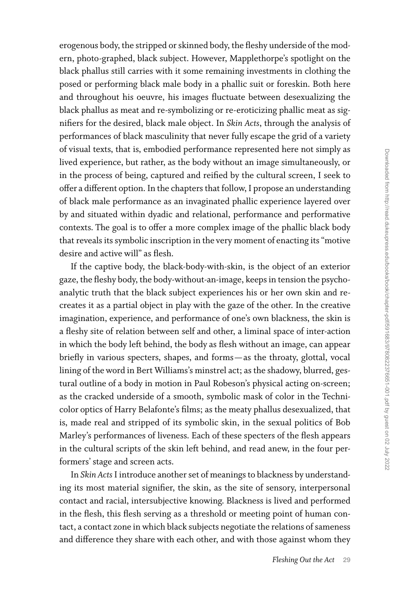erogenous body, the stripped or skinned body, the fleshy underside of the modern, photo-graphed, black subject. However, Mapplethorpe's spotlight on the black phallus still carries with it some remaining investments in clothing the posed or performing black male body in a phallic suit or foreskin. Both here and throughout his oeuvre, his images fluctuate between desexualizing the black phallus as meat and re-symbolizing or re-eroticizing phallic meat as signifiers for the desired, black male object. In *Skin Acts*, through the analysis of performances of black masculinity that never fully escape the grid of a variety of visual texts, that is, embodied performance represented here not simply as lived experience, but rather, as the body without an image simultaneously, or in the process of being, captured and reified by the cultural screen, I seek to offer a different option. In the chapters that follow, I propose an understanding of black male performance as an invaginated phallic experience layered over by and situated within dyadic and relational, performance and performative contexts. The goal is to offer a more complex image of the phallic black body that reveals its symbolic inscription in the very moment of enacting its "motive desire and active will" as flesh.

If the captive body, the black-body-with-skin, is the object of an exterior gaze, the fleshy body, the body-without-an-image, keeps in tension the psychoanalytic truth that the black subject experiences his or her own skin and recreates it as a partial object in play with the gaze of the other. In the creative imagination, experience, and performance of one's own blackness, the skin is a fleshy site of relation between self and other, a liminal space of inter-action in which the body left behind, the body as flesh without an image, can appear briefly in various specters, shapes, and forms—as the throaty, glottal, vocal lining of the word in Bert Williams's minstrel act; as the shadowy, blurred, gestural outline of a body in motion in Paul Robeson's physical acting on-screen; as the cracked underside of a smooth, symbolic mask of color in the Technicolor optics of Harry Belafonte's films; as the meaty phallus desexualized, that is, made real and stripped of its symbolic skin, in the sexual politics of Bob Marley's performances of liveness. Each of these specters of the flesh appears in the cultural scripts of the skin left behind, and read anew, in the four performers' stage and screen acts.

In *Skin Acts* I introduce another set of meanings to blackness by understanding its most material signifier, the skin, as the site of sensory, interpersonal contact and racial, intersubjective knowing. Blackness is lived and performed in the flesh, this flesh serving as a threshold or meeting point of human contact, a contact zone in which black subjects negotiate the relations of sameness and difference they share with each other, and with those against whom they